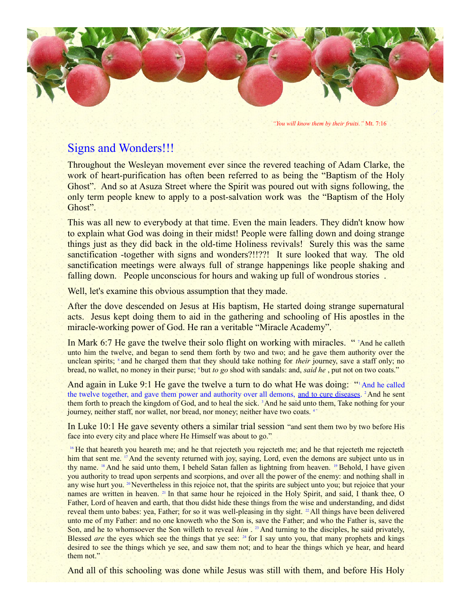

*"You will know them by their fruits."* Mt. 7:16

# Signs and Wonders!!!

Throughout the Wesleyan movement ever since the revered teaching of Adam Clarke, the work of heart-purification has often been referred to as being the "Baptism of the Holy Ghost". And so at Asuza Street where the Spirit was poured out with signs following, the only term people knew to apply to a post-salvation work was the "Baptism of the Holy" Ghost".

This was all new to everybody at that time. Even the main leaders. They didn't know how to explain what God was doing in their midst! People were falling down and doing strange things just as they did back in the old-time Holiness revivals! Surely this was the same sanctification -together with signs and wonders?!!??! It sure looked that way. The old sanctification meetings were always full of strange happenings like people shaking and falling down. People unconscious for hours and waking up full of wondrous stories .

Well, let's examine this obvious assumption that they made.

After the dove descended on Jesus at His baptism, He started doing strange supernatural acts. Jesus kept doing them to aid in the gathering and schooling of His apostles in the miracle-working power of God. He ran a veritable "Miracle Academy".

In Mark 6:7 He gave the twelve their solo flight on working with miracles. "<sup>7</sup>And he calleth unto him the twelve, and began to send them forth by two and two; and he gave them authority over the unclean spirits; 8 and he charged them that they should take nothing for *their* journey, save a staff only; no bread, no wallet, no money in their purse; <sup>9</sup> but *to go* shod with sandals: and, *said he*, put not on two coats."

And again in Luke 9:1 He gave the twelve a turn to do what He was doing: "<sup>1</sup> And he called the twelve together, and gave them power and authority over all demons, and to cure diseases. <sup>2</sup>And he sent them forth to preach the kingdom of God, and to heal the sick. 3 And he said unto them, Take nothing for your journey, neither staff, nor wallet, nor bread, nor money; neither have two coats. 4<sup>\*</sup>

In Luke 10:1 He gave seventy others a similar trial session "and sent them two by two before His face into every city and place where He Himself was about to go."

<sup>16</sup>He that heareth you heareth me; and he that rejecteth you rejecteth me; and he that rejecteth me rejecteth him that sent me. <sup>17</sup> And the seventy returned with joy, saying, Lord, even the demons are subject unto us in thy name. 18 And he said unto them, I beheld Satan fallen as lightning from heaven. 19 Behold, I have given you authority to tread upon serpents and scorpions, and over all the power of the enemy: and nothing shall in any wise hurt you. <sup>20</sup> Nevertheless in this rejoice not, that the spirits are subject unto you; but rejoice that your names are written in heaven. <sup>21</sup> In that same hour he rejoiced in the Holy Spirit, and said, I thank thee, O Father, Lord of heaven and earth, that thou didst hide these things from the wise and understanding, and didst reveal them unto babes: yea, Father; for so it was well-pleasing in thy sight. <sup>22</sup> All things have been delivered unto me of my Father: and no one knoweth who the Son is, save the Father; and who the Father is, save the Son, and he to whomsoever the Son willeth to reveal *him* . <sup>23</sup> And turning to the disciples, he said privately, Blessed *are* the eyes which see the things that ye see: <sup>24</sup> for I say unto you, that many prophets and kings desired to see the things which ye see, and saw them not; and to hear the things which ye hear, and heard them not."

And all of this schooling was done while Jesus was still with them, and before His Holy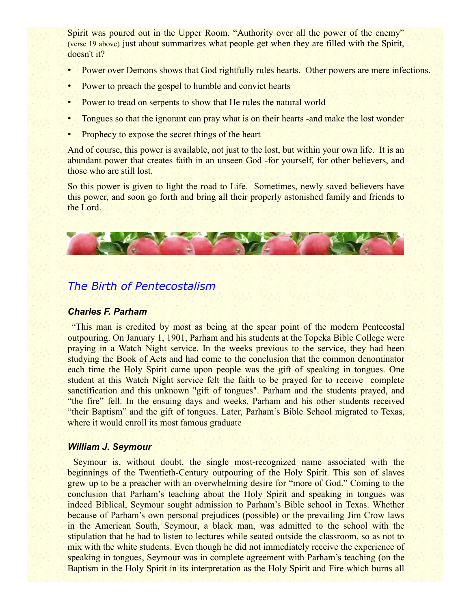Spirit was poured out in the Upper Room. "Authority over all the power of the enemy" (verse 19 above) just about summarizes what people get when they are filled with the Spirit, doesn't it?

- Power over Demons shows that God rightfully rules hearts. Other powers are mere infections.
- Power to preach the gospel to humble and convict hearts
- Power to tread on serpents to show that He rules the natural world
- Tongues so that the ignorant can pray what is on their hearts -and make the lost wonder
- Prophecy to expose the secret things of the heart

And of course, this power is available, not just to the lost, but within your own life. It is an abundant power that creates faith in an unseen God -for yourself, for other believers, and those who are still lost.

So this power is given to light the road to Life. Sometimes, newly saved believers have this power, and soon go forth and bring all their properly astonished family and friends to the Lord.



### *The Birth of Pentecostalism*

#### *Charles F. Parham*

 "This man is credited by most as being at the spear point of the modern Pentecostal outpouring. On January 1, 1901, Parham and his students at the Topeka Bible College were praying in a Watch Night service. In the weeks previous to the service, they had been studying the Book of Acts and had come to the conclusion that the common denominator each time the Holy Spirit came upon people was the gift of speaking in tongues. One student at this Watch Night service felt the faith to be prayed for to receive complete sanctification and this unknown "gift of tongues". Parham and the students prayed, and "the fire" fell. In the ensuing days and weeks, Parham and his other students received "their Baptism" and the gift of tongues. Later, Parham's Bible School migrated to Texas, where it would enroll its most famous graduate

#### *William J. Seymour*

 Seymour is, without doubt, the single most-recognized name associated with the beginnings of the Twentieth-Century outpouring of the Holy Spirit. This son of slaves grew up to be a preacher with an overwhelming desire for "more of God." Coming to the conclusion that Parham's teaching about the Holy Spirit and speaking in tongues was indeed Biblical, Seymour sought admission to Parham's Bible school in Texas. Whether because of Parham's own personal prejudices (possible) or the prevailing Jim Crow laws in the American South, Seymour, a black man, was admitted to the school with the stipulation that he had to listen to lectures while seated outside the classroom, so as not to mix with the white students. Even though he did not immediately receive the experience of speaking in tongues, Seymour was in complete agreement with Parham's teaching (on the Baptism in the Holy Spirit in its interpretation as the Holy Spirit and Fire which burns all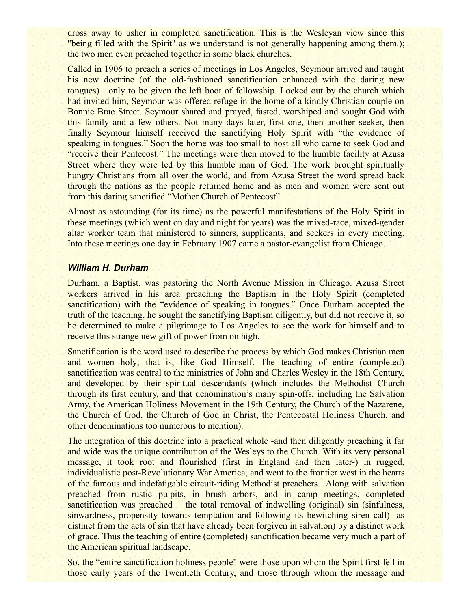dross away to usher in completed sanctification. This is the Wesleyan view since this "being filled with the Spirit" as we understand is not generally happening among them.); the two men even preached together in some black churches.

Called in 1906 to preach a series of meetings in Los Angeles, Seymour arrived and taught his new doctrine (of the old-fashioned sanctification enhanced with the daring new tongues)—only to be given the left boot of fellowship. Locked out by the church which had invited him, Seymour was offered refuge in the home of a kindly Christian couple on Bonnie Brae Street. Seymour shared and prayed, fasted, worshiped and sought God with this family and a few others. Not many days later, first one, then another seeker, then finally Seymour himself received the sanctifying Holy Spirit with "the evidence of speaking in tongues." Soon the home was too small to host all who came to seek God and "receive their Pentecost." The meetings were then moved to the humble facility at Azusa Street where they were led by this humble man of God. The work brought spiritually hungry Christians from all over the world, and from Azusa Street the word spread back through the nations as the people returned home and as men and women were sent out from this daring sanctified "Mother Church of Pentecost".

Almost as astounding (for its time) as the powerful manifestations of the Holy Spirit in these meetings (which went on day and night for years) was the mixed-race, mixed-gender altar worker team that ministered to sinners, supplicants, and seekers in every meeting. Into these meetings one day in February 1907 came a pastor-evangelist from Chicago.

#### *William H. Durham*

Durham, a Baptist, was pastoring the North Avenue Mission in Chicago. Azusa Street workers arrived in his area preaching the Baptism in the Holy Spirit (completed sanctification) with the "evidence of speaking in tongues." Once Durham accepted the truth of the teaching, he sought the sanctifying Baptism diligently, but did not receive it, so he determined to make a pilgrimage to Los Angeles to see the work for himself and to receive this strange new gift of power from on high.

Sanctification is the word used to describe the process by which God makes Christian men and women holy; that is, like God Himself. The teaching of entire (completed) sanctification was central to the ministries of John and Charles Wesley in the 18th Century, and developed by their spiritual descendants (which includes the Methodist Church through its first century, and that denomination's many spin-offs, including the Salvation Army, the American Holiness Movement in the 19th Century, the Church of the Nazarene, the Church of God, the Church of God in Christ, the Pentecostal Holiness Church, and other denominations too numerous to mention).

The integration of this doctrine into a practical whole -and then diligently preaching it far and wide was the unique contribution of the Wesleys to the Church. With its very personal message, it took root and flourished (first in England and then later-) in rugged, individualistic post-Revolutionary War America, and went to the frontier west in the hearts of the famous and indefatigable circuit-riding Methodist preachers. Along with salvation preached from rustic pulpits, in brush arbors, and in camp meetings, completed sanctification was preached —the total removal of indwelling (original) sin (sinfulness, sinwardness, propensity towards temptation and following its bewitching siren call) -as distinct from the acts of sin that have already been forgiven in salvation) by a distinct work of grace. Thus the teaching of entire (completed) sanctification became very much a part of the American spiritual landscape.

So, the "entire sanctification holiness people" were those upon whom the Spirit first fell in those early years of the Twentieth Century, and those through whom the message and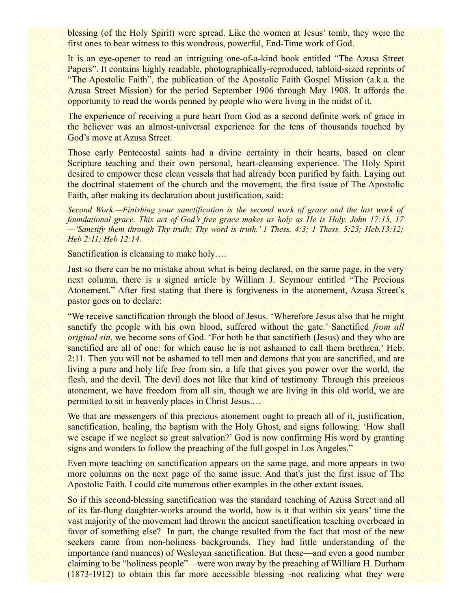blessing (of the Holy Spirit) were spread. Like the women at Jesus' tomb, they were the first ones to bear witness to this wondrous, powerful, End-Time work of God.

It is an eye-opener to read an intriguing one-of-a-kind book entitled "The Azusa Street Papers". It contains highly readable, photographically-reproduced, tabloid-sized reprints of "The Apostolic Faith", the publication of the Apostolic Faith Gospel Mission (a.k.a. the Azusa Street Mission) for the period September 1906 through May 1908. It affords the opportunity to read the words penned by people who were living in the midst of it.

The experience of receiving a pure heart from God as a second definite work of grace in the believer was an almost-universal experience for the tens of thousands touched by God's move at Azusa Street.

Those early Pentecostal saints had a divine certainty in their hearts, based on clear Scripture teaching and their own personal, heart-cleansing experience. The Holy Spirit desired to empower these clean vessels that had already been purified by faith. Laying out the doctrinal statement of the church and the movement, the first issue of The Apostolic Faith, after making its declaration about justification, said:

*Second Work.—Finishing your sanctification is the second work of grace and the last work of foundational grace. This act of God's free grace makes us holy as He is Holy. John 17:15, 17 —'Sanctify them through Thy truth; Thy word is truth.' 1 Thess. 4:3; 1 Thess. 5:23; Heb.13:12; Heb 2:11; Heb 12:14.* 

Sanctification is cleansing to make holy....

Just so there can be no mistake about what is being declared, on the same page, in the very next column, there is a signed article by William J. Seymour entitled "The Precious Atonement." After first stating that there is forgiveness in the atonement, Azusa Street's pastor goes on to declare:

"We receive sanctification through the blood of Jesus. 'Wherefore Jesus also that he might sanctify the people with his own blood, suffered without the gate.' Sanctified *from all original sin*, we become sons of God. 'For both he that sanctifieth (Jesus) and they who are sanctified are all of one: for which cause he is not ashamed to call them brethren.' Heb. 2:11. Then you will not be ashamed to tell men and demons that you are sanctified, and are living a pure and holy life free from sin, a life that gives you power over the world, the flesh, and the devil. The devil does not like that kind of testimony. Through this precious atonement, we have freedom from all sin, though we are living in this old world, we are permitted to sit in heavenly places in Christ Jesus.…

We that are messengers of this precious atonement ought to preach all of it, justification, sanctification, healing, the baptism with the Holy Ghost, and signs following. 'How shall we escape if we neglect so great salvation?' God is now confirming His word by granting signs and wonders to follow the preaching of the full gospel in Los Angeles."

Even more teaching on sanctification appears on the same page, and more appears in two more columns on the next page of the same issue. And that's just the first issue of The Apostolic Faith. I could cite numerous other examples in the other extant issues.

So if this second-blessing sanctification was the standard teaching of Azusa Street and all of its far-flung daughter-works around the world, how is it that within six years' time the vast majority of the movement had thrown the ancient sanctification teaching overboard in favor of something else? In part, the change resulted from the fact that most of the new seekers came from non-holiness backgrounds. They had little understanding of the importance (and nuances) of Wesleyan sanctification. But these—and even a good number claiming to be "holiness people"—were won away by the preaching of William H. Durham (1873-1912) to obtain this far more accessible blessing -not realizing what they were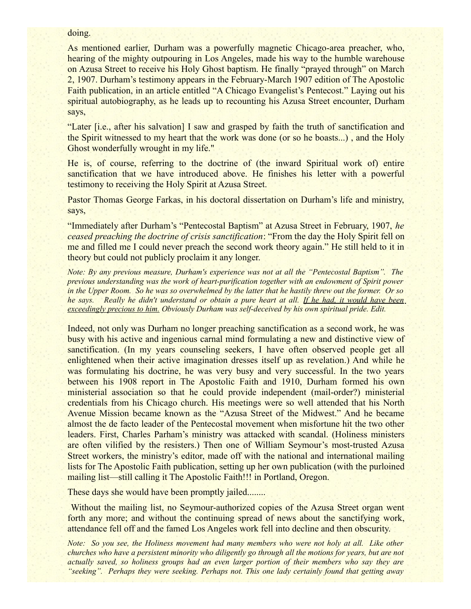doing.

As mentioned earlier, Durham was a powerfully magnetic Chicago-area preacher, who, hearing of the mighty outpouring in Los Angeles, made his way to the humble warehouse on Azusa Street to receive his Holy Ghost baptism. He finally "prayed through" on March 2, 1907. Durham's testimony appears in the February-March 1907 edition of The Apostolic Faith publication, in an article entitled "A Chicago Evangelist's Pentecost." Laying out his spiritual autobiography, as he leads up to recounting his Azusa Street encounter, Durham says,

"Later [i.e., after his salvation] I saw and grasped by faith the truth of sanctification and the Spirit witnessed to my heart that the work was done (or so he boasts...) , and the Holy Ghost wonderfully wrought in my life."

He is, of course, referring to the doctrine of (the inward Spiritual work of) entire sanctification that we have introduced above. He finishes his letter with a powerful testimony to receiving the Holy Spirit at Azusa Street.

Pastor Thomas George Farkas, in his doctoral dissertation on Durham's life and ministry, says,

"Immediately after Durham's "Pentecostal Baptism" at Azusa Street in February, 1907, *he ceased preaching the doctrine of crisis sanctification*: "From the day the Holy Spirit fell on me and filled me I could never preach the second work theory again." He still held to it in theory but could not publicly proclaim it any longer.

*Note: By any previous measure, Durham's experience was not at all the "Pentecostal Baptism". The previous understanding was the work of heart-purification together with an endowment of Spirit power in the Upper Room. So he was so overwhelmed by the latter that he hastily threw out the former. Or so he says. Really he didn't understand or obtain a pure heart at all. If he had, it would have been exceedingly precious to him. Obviously Durham was self-deceived by his own spiritual pride. Edit.*

Indeed, not only was Durham no longer preaching sanctification as a second work, he was busy with his active and ingenious carnal mind formulating a new and distinctive view of sanctification. (In my years counseling seekers, I have often observed people get all enlightened when their active imagination dresses itself up as revelation.) And while he was formulating his doctrine, he was very busy and very successful. In the two years between his 1908 report in The Apostolic Faith and 1910, Durham formed his own ministerial association so that he could provide independent (mail-order?) ministerial credentials from his Chicago church. His meetings were so well attended that his North Avenue Mission became known as the "Azusa Street of the Midwest." And he became almost the de facto leader of the Pentecostal movement when misfortune hit the two other leaders. First, Charles Parham's ministry was attacked with scandal. (Holiness ministers are often vilified by the resisters.) Then one of William Seymour's most-trusted Azusa Street workers, the ministry's editor, made off with the national and international mailing lists for The Apostolic Faith publication, setting up her own publication (with the purloined mailing list—still calling it The Apostolic Faith!!! in Portland, Oregon.

These days she would have been promptly jailed........

 Without the mailing list, no Seymour-authorized copies of the Azusa Street organ went forth any more; and without the continuing spread of news about the sanctifying work, attendance fell off and the famed Los Angeles work fell into decline and then obscurity.

*Note: So you see, the Holiness movement had many members who were not holy at all. Like other churches who have a persistent minority who diligently go through all the motions for years, but are not actually saved, so holiness groups had an even larger portion of their members who say they are "seeking". Perhaps they were seeking. Perhaps not. This one lady certainly found that getting away*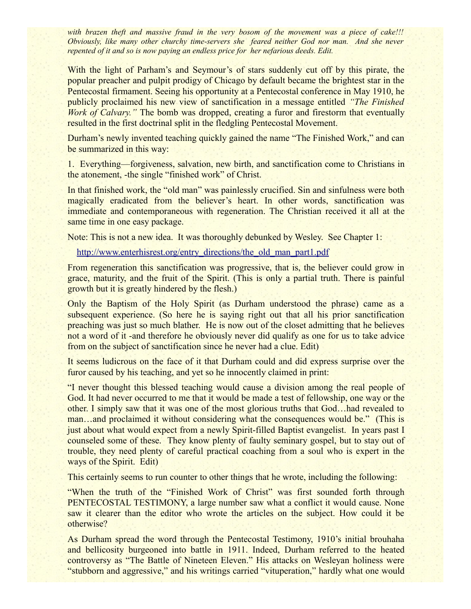*with brazen theft and massive fraud in the very bosom of the movement was a piece of cake!!! Obviously, like many other churchy time-servers she feared neither God nor man. And she never repented of it and so is now paying an endless price for her nefarious deeds. Edit.*

With the light of Parham's and Seymour's of stars suddenly cut off by this pirate, the popular preacher and pulpit prodigy of Chicago by default became the brightest star in the Pentecostal firmament. Seeing his opportunity at a Pentecostal conference in May 1910, he publicly proclaimed his new view of sanctification in a message entitled *"The Finished Work of Calvary.*" The bomb was dropped, creating a furor and firestorm that eventually resulted in the first doctrinal split in the fledgling Pentecostal Movement.

Durham's newly invented teaching quickly gained the name "The Finished Work," and can be summarized in this way:

1. Everything—forgiveness, salvation, new birth, and sanctification come to Christians in the atonement, -the single "finished work" of Christ.

In that finished work, the "old man" was painlessly crucified. Sin and sinfulness were both magically eradicated from the believer's heart. In other words, sanctification was immediate and contemporaneous with regeneration. The Christian received it all at the same time in one easy package.

Note: This is not a new idea. It was thoroughly debunked by Wesley. See Chapter 1:

[http://www.enterhisrest.org/entry\\_directions/the\\_old\\_man\\_part1.pdf](http://www.enterhisrest.org/entry_directions/the_old_man_part1.pdf)

From regeneration this sanctification was progressive, that is, the believer could grow in grace, maturity, and the fruit of the Spirit. (This is only a partial truth. There is painful growth but it is greatly hindered by the flesh.)

Only the Baptism of the Holy Spirit (as Durham understood the phrase) came as a subsequent experience. (So here he is saying right out that all his prior sanctification preaching was just so much blather. He is now out of the closet admitting that he believes not a word of it -and therefore he obviously never did qualify as one for us to take advice from on the subject of sanctification since he never had a clue. Edit)

It seems ludicrous on the face of it that Durham could and did express surprise over the furor caused by his teaching, and yet so he innocently claimed in print:

"I never thought this blessed teaching would cause a division among the real people of God. It had never occurred to me that it would be made a test of fellowship, one way or the other. I simply saw that it was one of the most glorious truths that God…had revealed to man…and proclaimed it without considering what the consequences would be." (This is just about what would expect from a newly Spirit-filled Baptist evangelist. In years past I counseled some of these. They know plenty of faulty seminary gospel, but to stay out of trouble, they need plenty of careful practical coaching from a soul who is expert in the ways of the Spirit. Edit)

This certainly seems to run counter to other things that he wrote, including the following:

"When the truth of the "Finished Work of Christ" was first sounded forth through PENTECOSTAL TESTIMONY, a large number saw what a conflict it would cause. None saw it clearer than the editor who wrote the articles on the subject. How could it be otherwise?

As Durham spread the word through the Pentecostal Testimony, 1910's initial brouhaha and bellicosity burgeoned into battle in 1911. Indeed, Durham referred to the heated controversy as "The Battle of Nineteen Eleven." His attacks on Wesleyan holiness were "stubborn and aggressive," and his writings carried "vituperation," hardly what one would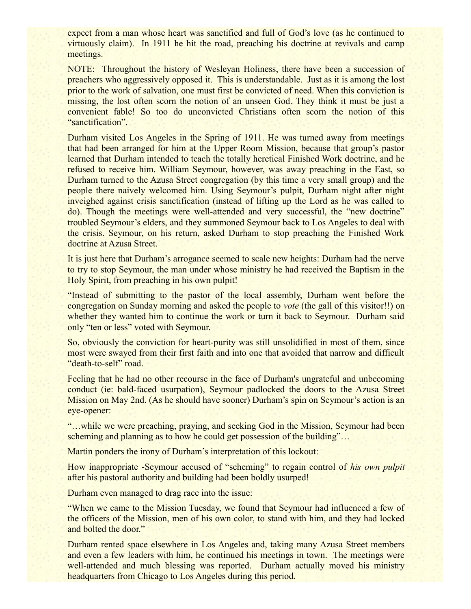expect from a man whose heart was sanctified and full of God's love (as he continued to virtuously claim). In 1911 he hit the road, preaching his doctrine at revivals and camp meetings.

NOTE: Throughout the history of Wesleyan Holiness, there have been a succession of preachers who aggressively opposed it. This is understandable. Just as it is among the lost prior to the work of salvation, one must first be convicted of need. When this conviction is missing, the lost often scorn the notion of an unseen God. They think it must be just a convenient fable! So too do unconvicted Christians often scorn the notion of this "sanctification".

Durham visited Los Angeles in the Spring of 1911. He was turned away from meetings that had been arranged for him at the Upper Room Mission, because that group's pastor learned that Durham intended to teach the totally heretical Finished Work doctrine, and he refused to receive him. William Seymour, however, was away preaching in the East, so Durham turned to the Azusa Street congregation (by this time a very small group) and the people there naively welcomed him. Using Seymour's pulpit, Durham night after night inveighed against crisis sanctification (instead of lifting up the Lord as he was called to do). Though the meetings were well-attended and very successful, the "new doctrine" troubled Seymour's elders, and they summoned Seymour back to Los Angeles to deal with the crisis. Seymour, on his return, asked Durham to stop preaching the Finished Work doctrine at Azusa Street.

It is just here that Durham's arrogance seemed to scale new heights: Durham had the nerve to try to stop Seymour, the man under whose ministry he had received the Baptism in the Holy Spirit, from preaching in his own pulpit!

"Instead of submitting to the pastor of the local assembly, Durham went before the congregation on Sunday morning and asked the people to *vote* (the gall of this visitor!!) on whether they wanted him to continue the work or turn it back to Seymour. Durham said only "ten or less" voted with Seymour.

So, obviously the conviction for heart-purity was still unsolidified in most of them, since most were swayed from their first faith and into one that avoided that narrow and difficult "death-to-self" road.

Feeling that he had no other recourse in the face of Durham's ungrateful and unbecoming conduct (ie: bald-faced usurpation), Seymour padlocked the doors to the Azusa Street Mission on May 2nd. (As he should have sooner) Durham's spin on Seymour's action is an eye-opener:

"…while we were preaching, praying, and seeking God in the Mission, Seymour had been scheming and planning as to how he could get possession of the building"...

Martin ponders the irony of Durham's interpretation of this lockout:

How inappropriate -Seymour accused of "scheming" to regain control of *his own pulpit* after his pastoral authority and building had been boldly usurped!

Durham even managed to drag race into the issue:

"When we came to the Mission Tuesday, we found that Seymour had influenced a few of the officers of the Mission, men of his own color, to stand with him, and they had locked and bolted the door."

Durham rented space elsewhere in Los Angeles and, taking many Azusa Street members and even a few leaders with him, he continued his meetings in town. The meetings were well-attended and much blessing was reported. Durham actually moved his ministry headquarters from Chicago to Los Angeles during this period.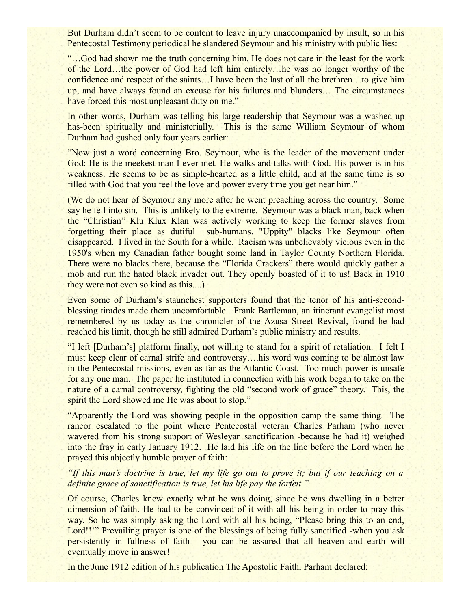But Durham didn't seem to be content to leave injury unaccompanied by insult, so in his Pentecostal Testimony periodical he slandered Seymour and his ministry with public lies:

"…God had shown me the truth concerning him. He does not care in the least for the work of the Lord…the power of God had left him entirely…he was no longer worthy of the confidence and respect of the saints…I have been the last of all the brethren…to give him up, and have always found an excuse for his failures and blunders… The circumstances have forced this most unpleasant duty on me."

In other words, Durham was telling his large readership that Seymour was a washed-up has-been spiritually and ministerially. This is the same William Seymour of whom Durham had gushed only four years earlier:

"Now just a word concerning Bro. Seymour, who is the leader of the movement under God: He is the meekest man I ever met. He walks and talks with God. His power is in his weakness. He seems to be as simple-hearted as a little child, and at the same time is so filled with God that you feel the love and power every time you get near him."

(We do not hear of Seymour any more after he went preaching across the country. Some say he fell into sin. This is unlikely to the extreme. Seymour was a black man, back when the "Christian" Klu Klux Klan was actively working to keep the former slaves from forgetting their place as dutiful sub-humans. "Uppity" blacks like Seymour often disappeared. I lived in the South for a while. Racism was unbelievably vicious even in the 1950's when my Canadian father bought some land in Taylor County Northern Florida. There were no blacks there, because the "Florida Crackers" there would quickly gather a mob and run the hated black invader out. They openly boasted of it to us! Back in 1910 they were not even so kind as this....)

Even some of Durham's staunchest supporters found that the tenor of his anti-secondblessing tirades made them uncomfortable. Frank Bartleman, an itinerant evangelist most remembered by us today as the chronicler of the Azusa Street Revival, found he had reached his limit, though he still admired Durham's public ministry and results.

"I left [Durham's] platform finally, not willing to stand for a spirit of retaliation. I felt I must keep clear of carnal strife and controversy….his word was coming to be almost law in the Pentecostal missions, even as far as the Atlantic Coast. Too much power is unsafe for any one man. The paper he instituted in connection with his work began to take on the nature of a carnal controversy, fighting the old "second work of grace" theory. This, the spirit the Lord showed me He was about to stop."

"Apparently the Lord was showing people in the opposition camp the same thing. The rancor escalated to the point where Pentecostal veteran Charles Parham (who never wavered from his strong support of Wesleyan sanctification -because he had it) weighed into the fray in early January 1912. He laid his life on the line before the Lord when he prayed this abjectly humble prayer of faith:

### *"If this man's doctrine is true, let my life go out to prove it; but if our teaching on a definite grace of sanctification is true, let his life pay the forfeit."*

Of course, Charles knew exactly what he was doing, since he was dwelling in a better dimension of faith. He had to be convinced of it with all his being in order to pray this way. So he was simply asking the Lord with all his being, "Please bring this to an end, Lord!!!" Prevailing prayer is one of the blessings of being fully sanctified -when you ask persistently in fullness of faith -you can be assured that all heaven and earth will eventually move in answer!

In the June 1912 edition of his publication The Apostolic Faith, Parham declared: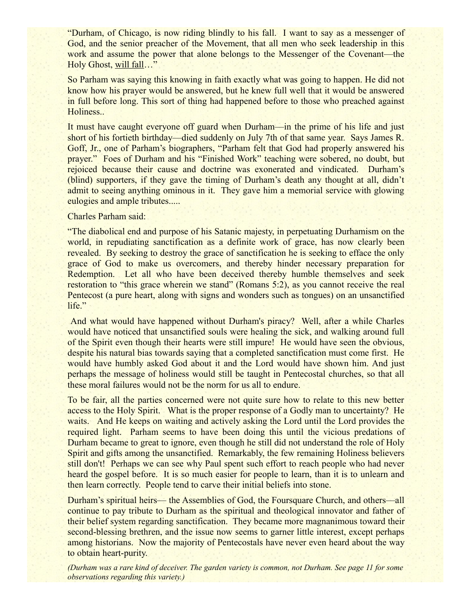"Durham, of Chicago, is now riding blindly to his fall. I want to say as a messenger of God, and the senior preacher of the Movement, that all men who seek leadership in this work and assume the power that alone belongs to the Messenger of the Covenant—the Holy Ghost, will fall…"

So Parham was saying this knowing in faith exactly what was going to happen. He did not know how his prayer would be answered, but he knew full well that it would be answered in full before long. This sort of thing had happened before to those who preached against Holiness..

It must have caught everyone off guard when Durham—in the prime of his life and just short of his fortieth birthday—died suddenly on July 7th of that same year. Says James R. Goff, Jr., one of Parham's biographers, "Parham felt that God had properly answered his prayer." Foes of Durham and his "Finished Work" teaching were sobered, no doubt, but rejoiced because their cause and doctrine was exonerated and vindicated. Durham's (blind) supporters, if they gave the timing of Durham's death any thought at all, didn't admit to seeing anything ominous in it. They gave him a memorial service with glowing eulogies and ample tributes.....

Charles Parham said:

"The diabolical end and purpose of his Satanic majesty, in perpetuating Durhamism on the world, in repudiating sanctification as a definite work of grace, has now clearly been revealed. By seeking to destroy the grace of sanctification he is seeking to efface the only grace of God to make us overcomers, and thereby hinder necessary preparation for Redemption. Let all who have been deceived thereby humble themselves and seek restoration to "this grace wherein we stand" (Romans 5:2), as you cannot receive the real Pentecost (a pure heart, along with signs and wonders such as tongues) on an unsanctified life."

 And what would have happened without Durham's piracy? Well, after a while Charles would have noticed that unsanctified souls were healing the sick, and walking around full of the Spirit even though their hearts were still impure! He would have seen the obvious, despite his natural bias towards saying that a completed sanctification must come first. He would have humbly asked God about it and the Lord would have shown him. And just perhaps the message of holiness would still be taught in Pentecostal churches, so that all these moral failures would not be the norm for us all to endure.

To be fair, all the parties concerned were not quite sure how to relate to this new better access to the Holy Spirit. What is the proper response of a Godly man to uncertainty? He waits. And He keeps on waiting and actively asking the Lord until the Lord provides the required light. Parham seems to have been doing this until the vicious predations of Durham became to great to ignore, even though he still did not understand the role of Holy Spirit and gifts among the unsanctified. Remarkably, the few remaining Holiness believers still don't! Perhaps we can see why Paul spent such effort to reach people who had never heard the gospel before. It is so much easier for people to learn, than it is to unlearn and then learn correctly. People tend to carve their initial beliefs into stone.

Durham's spiritual heirs— the Assemblies of God, the Foursquare Church, and others—all continue to pay tribute to Durham as the spiritual and theological innovator and father of their belief system regarding sanctification. They became more magnanimous toward their second-blessing brethren, and the issue now seems to garner little interest, except perhaps among historians. Now the majority of Pentecostals have never even heard about the way to obtain heart-purity.

*(Durham was a rare kind of deceiver. The garden variety is common, not Durham. See page 11 for some observations regarding this variety.)*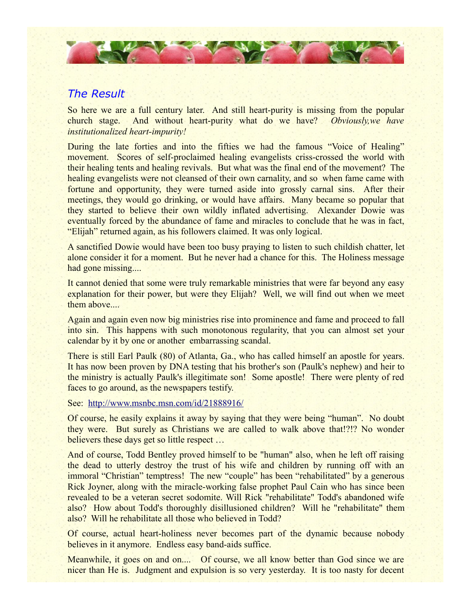### *The Result*

So here we are a full century later. And still heart-purity is missing from the popular church stage. And without heart-purity what do we have? *Obviously,we have institutionalized heart-impurity!*

During the late forties and into the fifties we had the famous "Voice of Healing" movement. Scores of self-proclaimed healing evangelists criss-crossed the world with their healing tents and healing revivals. But what was the final end of the movement? The healing evangelists were not cleansed of their own carnality, and so when fame came with fortune and opportunity, they were turned aside into grossly carnal sins. After their meetings, they would go drinking, or would have affairs. Many became so popular that they started to believe their own wildly inflated advertising. Alexander Dowie was eventually forced by the abundance of fame and miracles to conclude that he was in fact, "Elijah" returned again, as his followers claimed. It was only logical.

A sanctified Dowie would have been too busy praying to listen to such childish chatter, let alone consider it for a moment. But he never had a chance for this. The Holiness message had gone missing....

It cannot denied that some were truly remarkable ministries that were far beyond any easy explanation for their power, but were they Elijah? Well, we will find out when we meet them above....

Again and again even now big ministries rise into prominence and fame and proceed to fall into sin. This happens with such monotonous regularity, that you can almost set your calendar by it by one or another embarrassing scandal.

There is still Earl Paulk (80) of Atlanta, Ga., who has called himself an apostle for years. It has now been proven by DNA testing that his brother's son (Paulk's nephew) and heir to the ministry is actually Paulk's illegitimate son! Some apostle! There were plenty of red faces to go around, as the newspapers testify.

See: <http://www.msnbc.msn.com/id/21888916/>

Of course, he easily explains it away by saying that they were being "human". No doubt they were. But surely as Christians we are called to walk above that!?!? No wonder believers these days get so little respect …

And of course, Todd Bentley proved himself to be "human" also, when he left off raising the dead to utterly destroy the trust of his wife and children by running off with an immoral "Christian" temptress! The new "couple" has been "rehabilitated" by a generous Rick Joyner, along with the miracle-working false prophet Paul Cain who has since been revealed to be a veteran secret sodomite. Will Rick "rehabilitate" Todd's abandoned wife also? How about Todd's thoroughly disillusioned children? Will he "rehabilitate" them also? Will he rehabilitate all those who believed in Todd?

Of course, actual heart-holiness never becomes part of the dynamic because nobody believes in it anymore. Endless easy band-aids suffice.

Meanwhile, it goes on and on.... Of course, we all know better than God since we are nicer than He is. Judgment and expulsion is so very yesterday. It is too nasty for decent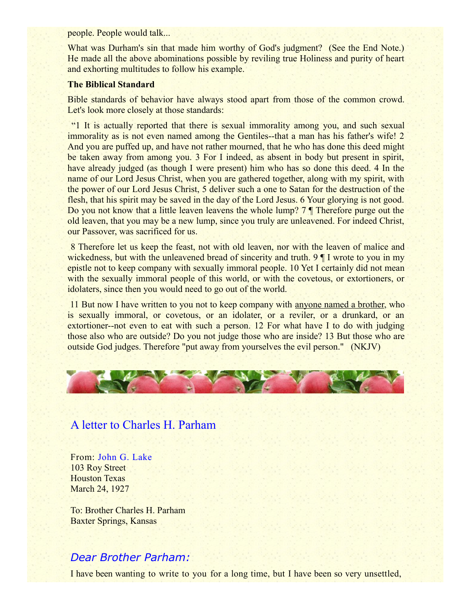people. People would talk...

What was Durham's sin that made him worthy of God's judgment? (See the End Note.) He made all the above abominations possible by reviling true Holiness and purity of heart and exhorting multitudes to follow his example.

#### **The Biblical Standard**

Bible standards of behavior have always stood apart from those of the common crowd. Let's look more closely at those standards:

 "1 It is actually reported that there is sexual immorality among you, and such sexual immorality as is not even named among the Gentiles--that a man has his father's wife! 2 And you are puffed up, and have not rather mourned, that he who has done this deed might be taken away from among you. 3 For I indeed, as absent in body but present in spirit, have already judged (as though I were present) him who has so done this deed. 4 In the name of our Lord Jesus Christ, when you are gathered together, along with my spirit, with the power of our Lord Jesus Christ, 5 deliver such a one to Satan for the destruction of the flesh, that his spirit may be saved in the day of the Lord Jesus. 6 Your glorying is not good. Do you not know that a little leaven leavens the whole lump? 7  $\parallel$  Therefore purge out the old leaven, that you may be a new lump, since you truly are unleavened. For indeed Christ, our Passover, was sacrificed for us.

 8 Therefore let us keep the feast, not with old leaven, nor with the leaven of malice and wickedness, but with the unleavened bread of sincerity and truth. 9  $\P$  I wrote to you in my epistle not to keep company with sexually immoral people. 10 Yet I certainly did not mean with the sexually immoral people of this world, or with the covetous, or extortioners, or idolaters, since then you would need to go out of the world.

 11 But now I have written to you not to keep company with anyone named a brother, who is sexually immoral, or covetous, or an idolater, or a reviler, or a drunkard, or an extortioner--not even to eat with such a person. 12 For what have I to do with judging those also who are outside? Do you not judge those who are inside? 13 But those who are outside God judges. Therefore "put away from yourselves the evil person." (NKJV)



# A letter to Charles H. Parham

From: John G. Lake 103 Roy Street Houston Texas March 24, 1927

To: Brother Charles H. Parham Baxter Springs, Kansas

# *Dear Brother Parham:*

I have been wanting to write to you for a long time, but I have been so very unsettled,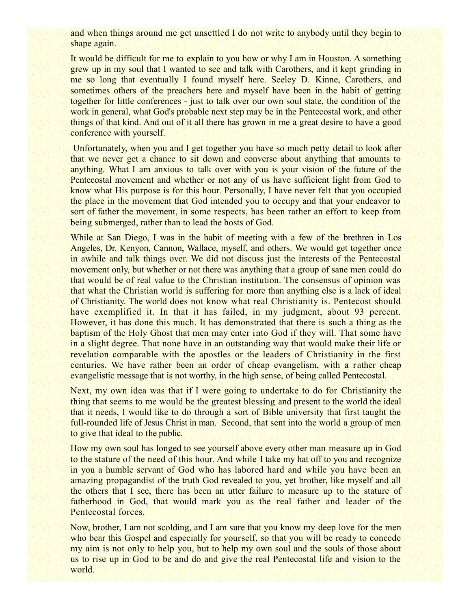and when things around me get unsettled I do not write to anybody until they begin to shape again.

It would be difficult for me to explain to you how or why I am in Houston. A something grew up in my soul that I wanted to see and talk with Carothers, and it kept grinding in me so long that eventually I found myself here. Seeley D. Kinne, Carothers, and sometimes others of the preachers here and myself have been in the habit of getting together for little conferences - just to talk over our own soul state, the condition of the work in general, what God's probable next step may be in the Pentecostal work, and other things of that kind. And out of it all there has grown in me a great desire to have a good conference with yourself.

 Unfortunately, when you and I get together you have so much petty detail to look after that we never get a chance to sit down and converse about anything that amounts to anything. What I am anxious to talk over with you is your vision of the future of the Pentecostal movement and whether or not any of us have sufficient light from God to know what His purpose is for this hour. Personally, I have never felt that you occupied the place in the movement that God intended you to occupy and that your endeavor to sort of father the movement, in some respects, has been rather an effort to keep from being submerged, rather than to lead the hosts of God.

While at San Diego, I was in the habit of meeting with a few of the brethren in Los Angeles, Dr. Kenyon, Cannon, Wallace, myself, and others. We would get together once in awhile and talk things over. We did not discuss just the interests of the Pentecostal movement only, but whether or not there was anything that a group of sane men could do that would be of real value to the Christian institution. The consensus of opinion was that what the Christian world is suffering for more than anything else is a lack of ideal of Christianity. The world does not know what real Christianity is. Pentecost should have exemplified it. In that it has failed, in my judgment, about 93 percent. However, it has done this much. It has demonstrated that there is such a thing as the baptism of the Holy Ghost that men may enter into God if they will. That some have in a slight degree. That none have in an outstanding way that would make their life or revelation comparable with the apostles or the leaders of Christianity in the first centuries. We have rather been an order of cheap evangelism, with a rather cheap evangelistic message that is not worthy, in the high sense, of being called Pentecostal.

Next, my own idea was that if I were going to undertake to do for Christianity the thing that seems to me would be the greatest blessing and present to the world the ideal that it needs, I would like to do through a sort of Bible university that first taught the full-rounded life of Jesus Christ in man. Second, that sent into the world a group of men to give that ideal to the public.

How my own soul has longed to see yourself above every other man measure up in God to the stature of the need of this hour. And while I take my hat off to you and recognize in you a humble servant of God who has labored hard and while you have been an amazing propagandist of the truth God revealed to you, yet brother, like myself and all the others that I see, there has been an utter failure to measure up to the stature of fatherhood in God, that would mark you as the real father and leader of the Pentecostal forces.

Now, brother, I am not scolding, and I am sure that you know my deep love for the men who bear this Gospel and especially for yourself, so that you will be ready to concede my aim is not only to help you, but to help my own soul and the souls of those about us to rise up in God to be and do and give the real Pentecostal life and vision to the world.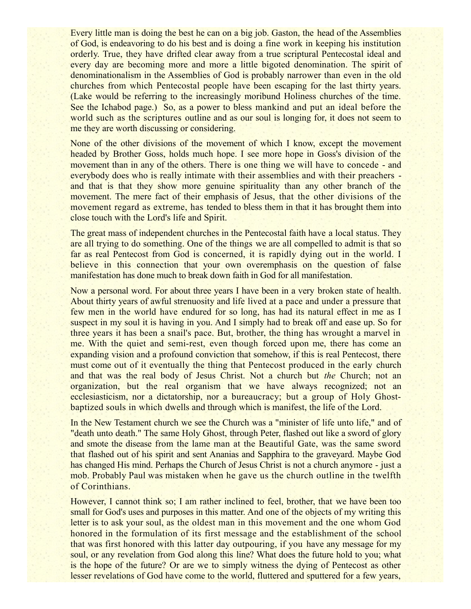Every little man is doing the best he can on a big job. Gaston, the head of the Assemblies of God, is endeavoring to do his best and is doing a fine work in keeping his institution orderly. True, they have drifted clear away from a true scriptural Pentecostal ideal and every day are becoming more and more a little bigoted denomination. The spirit of denominationalism in the Assemblies of God is probably narrower than even in the old churches from which Pentecostal people have been escaping for the last thirty years. (Lake would be referring to the increasingly moribund Holiness churches of the time. See the Ichabod page.) So, as a power to bless mankind and put an ideal before the world such as the scriptures outline and as our soul is longing for, it does not seem to me they are worth discussing or considering.

None of the other divisions of the movement of which I know, except the movement headed by Brother Goss, holds much hope. I see more hope in Goss's division of the movement than in any of the others. There is one thing we will have to concede - and everybody does who is really intimate with their assemblies and with their preachers and that is that they show more genuine spirituality than any other branch of the movement. The mere fact of their emphasis of Jesus, that the other divisions of the movement regard as extreme, has tended to bless them in that it has brought them into close touch with the Lord's life and Spirit.

The great mass of independent churches in the Pentecostal faith have a local status. They are all trying to do something. One of the things we are all compelled to admit is that so far as real Pentecost from God is concerned, it is rapidly dying out in the world. I believe in this connection that your own overemphasis on the question of false manifestation has done much to break down faith in God for all manifestation.

Now a personal word. For about three years I have been in a very broken state of health. About thirty years of awful strenuosity and life lived at a pace and under a pressure that few men in the world have endured for so long, has had its natural effect in me as I suspect in my soul it is having in you. And I simply had to break off and ease up. So for three years it has been a snail's pace. But, brother, the thing has wrought a marvel in me. With the quiet and semi-rest, even though forced upon me, there has come an expanding vision and a profound conviction that somehow, if this is real Pentecost, there must come out of it eventually the thing that Pentecost produced in the early church and that was the real body of Jesus Christ. Not a church but *the* Church; not an organization, but the real organism that we have always recognized; not an ecclesiasticism, nor a dictatorship, nor a bureaucracy; but a group of Holy Ghostbaptized souls in which dwells and through which is manifest, the life of the Lord.

In the New Testament church we see the Church was a "minister of life unto life," and of "death unto death." The same Holy Ghost, through Peter, flashed out like a sword of glory and smote the disease from the lame man at the Beautiful Gate, was the same sword that flashed out of his spirit and sent Ananias and Sapphira to the graveyard. Maybe God has changed His mind. Perhaps the Church of Jesus Christ is not a church anymore - just a mob. Probably Paul was mistaken when he gave us the church outline in the twelfth of Corinthians.

However, I cannot think so; I am rather inclined to feel, brother, that we have been too small for God's uses and purposes in this matter. And one of the objects of my writing this letter is to ask your soul, as the oldest man in this movement and the one whom God honored in the formulation of its first message and the establishment of the school that was first honored with this latter day outpouring, if you have any message for my soul, or any revelation from God along this line? What does the future hold to you; what is the hope of the future? Or are we to simply witness the dying of Pentecost as other lesser revelations of God have come to the world, fluttered and sputtered for a few years,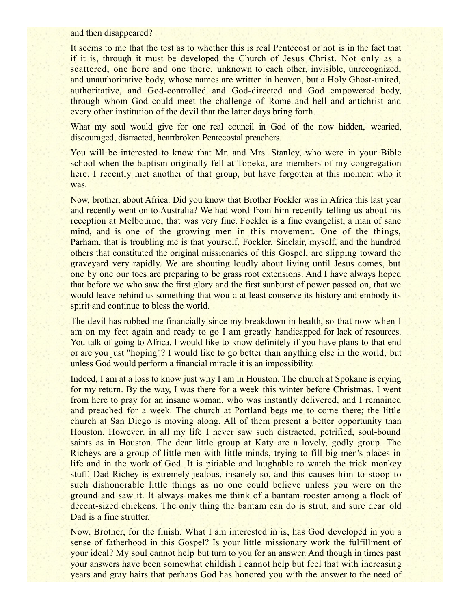and then disappeared?

It seems to me that the test as to whether this is real Pentecost or not is in the fact that if it is, through it must be developed the Church of Jesus Christ. Not only as a scattered, one here and one there, unknown to each other, invisible, unrecognized, and unauthoritative body, whose names are written in heaven, but a Holy Ghost-united, authoritative, and God-controlled and God-directed and God empowered body, through whom God could meet the challenge of Rome and hell and antichrist and every other institution of the devil that the latter days bring forth.

What my soul would give for one real council in God of the now hidden, wearied, discouraged, distracted, heartbroken Pentecostal preachers.

You will be interested to know that Mr. and Mrs. Stanley, who were in your Bible school when the baptism originally fell at Topeka, are members of my congregation here. I recently met another of that group, but have forgotten at this moment who it was.

Now, brother, about Africa. Did you know that Brother Fockler was in Africa this last year and recently went on to Australia? We had word from him recently telling us about his reception at Melbourne, that was very fine. Fockler is a fine evangelist, a man of sane mind, and is one of the growing men in this movement. One of the things, Parham, that is troubling me is that yourself, Fockler, Sinclair, myself, and the hundred others that constituted the original missionaries of this Gospel, are slipping toward the graveyard very rapidly. We are shouting loudly about living until Jesus comes, but one by one our toes are preparing to be grass root extensions. And I have always hoped that before we who saw the first glory and the first sunburst of power passed on, that we would leave behind us something that would at least conserve its history and embody its spirit and continue to bless the world.

The devil has robbed me financially since my breakdown in health, so that now when I am on my feet again and ready to go I am greatly handicapped for lack of resources. You talk of going to Africa. I would like to know definitely if you have plans to that end or are you just "hoping"? I would like to go better than anything else in the world, but unless God would perform a financial miracle it is an impossibility.

Indeed, I am at a loss to know just why I am in Houston. The church at Spokane is crying for my return. By the way, I was there for a week this winter before Christmas. I went from here to pray for an insane woman, who was instantly delivered, and I remained and preached for a week. The church at Portland begs me to come there; the little church at San Diego is moving along. All of them present a better opportunity than Houston. However, in all my life I never saw such distracted, petrified, soul-bound saints as in Houston. The dear little group at Katy are a lovely, godly group. The Richeys are a group of little men with little minds, trying to fill big men's places in life and in the work of God. It is pitiable and laughable to watch the trick monkey stuff. Dad Richey is extremely jealous, insanely so, and this causes him to stoop to such dishonorable little things as no one could believe unless you were on the ground and saw it. It always makes me think of a bantam rooster among a flock of decent-sized chickens. The only thing the bantam can do is strut, and sure dear old Dad is a fine strutter.

Now, Brother, for the finish. What I am interested in is, has God developed in you a sense of fatherhood in this Gospel? Is your little missionary work the fulfillment of your ideal? My soul cannot help but turn to you for an answer. And though in times past your answers have been somewhat childish I cannot help but feel that with increasing years and gray hairs that perhaps God has honored you with the answer to the need of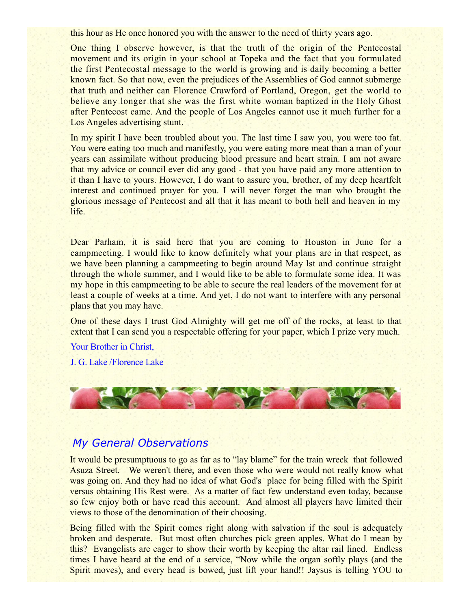this hour as He once honored you with the answer to the need of thirty years ago.

One thing I observe however, is that the truth of the origin of the Pentecostal movement and its origin in your school at Topeka and the fact that you formulated the first Pentecostal message to the world is growing and is daily becoming a better known fact. So that now, even the prejudices of the Assemblies of God cannot submerge that truth and neither can Florence Crawford of Portland, Oregon, get the world to believe any longer that she was the first white woman baptized in the Holy Ghost after Pentecost came. And the people of Los Angeles cannot use it much further for a Los Angeles advertising stunt.

In my spirit I have been troubled about you. The last time I saw you, you were too fat. You were eating too much and manifestly, you were eating more meat than a man of your years can assimilate without producing blood pressure and heart strain. I am not aware that my advice or council ever did any good - that you have paid any more attention to it than I have to yours. However, I do want to assure you, brother, of my deep heartfelt interest and continued prayer for you. I will never forget the man who brought the glorious message of Pentecost and all that it has meant to both hell and heaven in my life.

Dear Parham, it is said here that you are coming to Houston in June for a campmeeting. I would like to know definitely what your plans are in that respect, as we have been planning a campmeeting to begin around May lst and continue straight through the whole summer, and I would like to be able to formulate some idea. It was my hope in this campmeeting to be able to secure the real leaders of the movement for at least a couple of weeks at a time. And yet, I do not want to interfere with any personal plans that you may have.

One of these days I trust God Almighty will get me off of the rocks, at least to that extent that I can send you a respectable offering for your paper, which I prize very much.

Your Brother in Christ, J. G. Lake /Florence Lake

### *My General Observations*

It would be presumptuous to go as far as to "lay blame" for the train wreck that followed Asuza Street. We weren't there, and even those who were would not really know what was going on. And they had no idea of what God's place for being filled with the Spirit versus obtaining His Rest were. As a matter of fact few understand even today, because so few enjoy both or have read this account. And almost all players have limited their views to those of the denomination of their choosing.

Being filled with the Spirit comes right along with salvation if the soul is adequately broken and desperate. But most often churches pick green apples. What do I mean by this? Evangelists are eager to show their worth by keeping the altar rail lined. Endless times I have heard at the end of a service, "Now while the organ softly plays (and the Spirit moves), and every head is bowed, just lift your hand!! Jaysus is telling YOU to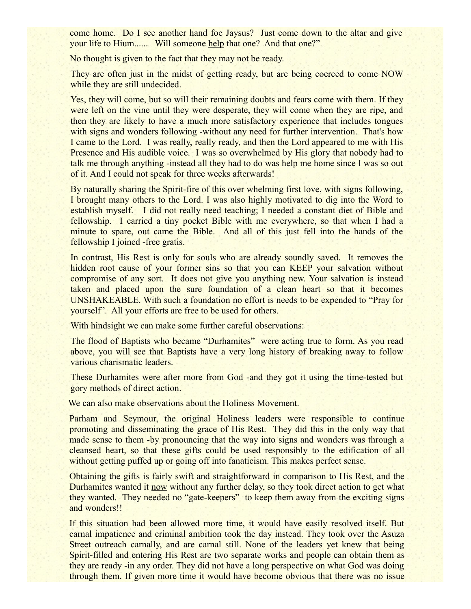come home. Do I see another hand foe Jaysus? Just come down to the altar and give your life to Hium...... Will someone help that one? And that one?"

No thought is given to the fact that they may not be ready.

They are often just in the midst of getting ready, but are being coerced to come NOW while they are still undecided.

Yes, they will come, but so will their remaining doubts and fears come with them. If they were left on the vine until they were desperate, they will come when they are ripe, and then they are likely to have a much more satisfactory experience that includes tongues with signs and wonders following -without any need for further intervention. That's how I came to the Lord. I was really, really ready, and then the Lord appeared to me with His Presence and His audible voice. I was so overwhelmed by His glory that nobody had to talk me through anything -instead all they had to do was help me home since I was so out of it. And I could not speak for three weeks afterwards!

By naturally sharing the Spirit-fire of this over whelming first love, with signs following, I brought many others to the Lord. I was also highly motivated to dig into the Word to establish myself. I did not really need teaching; I needed a constant diet of Bible and fellowship. I carried a tiny pocket Bible with me everywhere, so that when I had a minute to spare, out came the Bible. And all of this just fell into the hands of the fellowship I joined -free gratis.

In contrast, His Rest is only for souls who are already soundly saved. It removes the hidden root cause of your former sins so that you can KEEP your salvation without compromise of any sort. It does not give you anything new. Your salvation is instead taken and placed upon the sure foundation of a clean heart so that it becomes UNSHAKEABLE. With such a foundation no effort is needs to be expended to "Pray for yourself". All your efforts are free to be used for others.

With hindsight we can make some further careful observations:

The flood of Baptists who became "Durhamites" were acting true to form. As you read above, you will see that Baptists have a very long history of breaking away to follow various charismatic leaders.

These Durhamites were after more from God -and they got it using the time-tested but gory methods of direct action.

We can also make observations about the Holiness Movement.

Parham and Seymour, the original Holiness leaders were responsible to continue promoting and disseminating the grace of His Rest. They did this in the only way that made sense to them -by pronouncing that the way into signs and wonders was through a cleansed heart, so that these gifts could be used responsibly to the edification of all without getting puffed up or going off into fanaticism. This makes perfect sense.

Obtaining the gifts is fairly swift and straightforward in comparison to His Rest, and the Durhamites wanted it now without any further delay, so they took direct action to get what they wanted. They needed no "gate-keepers" to keep them away from the exciting signs and wonders!!

If this situation had been allowed more time, it would have easily resolved itself. But carnal impatience and criminal ambition took the day instead. They took over the Asuza Street outreach carnally, and are carnal still. None of the leaders yet knew that being Spirit-filled and entering His Rest are two separate works and people can obtain them as they are ready -in any order. They did not have a long perspective on what God was doing through them. If given more time it would have become obvious that there was no issue